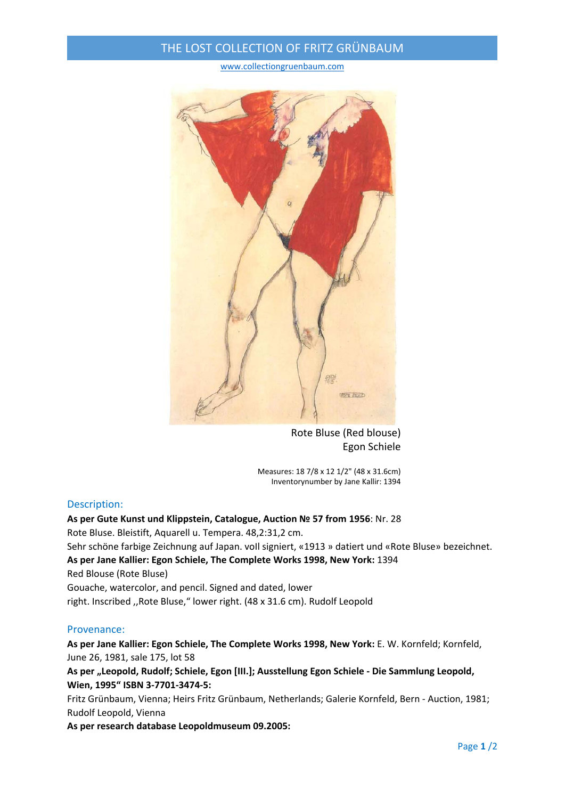## THE LOST COLLECTION OF FRITZ GRÜNBAUM

www.collectiongruenbaum.com



Rote Bluse (Red blouse) Egon Schiele

Measures: 18 7/8 x 12 1/2" (48 x 31.6cm) Inventorynumber by Jane Kallir: 1394

## Description:

**As per Gute Kunst und Klippstein, Catalogue, Auction № 57 from 1956**: Nr. 28 Rote Bluse. Bleistift, Aquarell u. Tempera. 48,2:31,2 cm. Sehr schöne farbige Zeichnung auf Japan. voll signiert, «1913 » datiert und «Rote Bluse» bezeichnet. **As per Jane Kallier: Egon Schiele, The Complete Works 1998, New York:** 1394 Red Blouse (Rote Bluse) Gouache, watercolor, and pencil. Signed and dated, lower right. Inscribed ,,Rote Bluse," lower right. (48 x 31.6 cm). Rudolf Leopold

## Provenance:

**As per Jane Kallier: Egon Schiele, The Complete Works 1998, New York:** E. W. Kornfeld; Kornfeld, June 26, 1981, sale 175, lot 58

**As per "Leopold, Rudolf; Schiele, Egon [III.]; Ausstellung Egon Schiele ‐ Die Sammlung Leopold, Wien, 1995" ISBN 3‐7701‐3474‐5:**

Fritz Grünbaum, Vienna; Heirs Fritz Grünbaum, Netherlands; Galerie Kornfeld, Bern ‐ Auction, 1981; Rudolf Leopold, Vienna

**As per research database Leopoldmuseum 09.2005:**